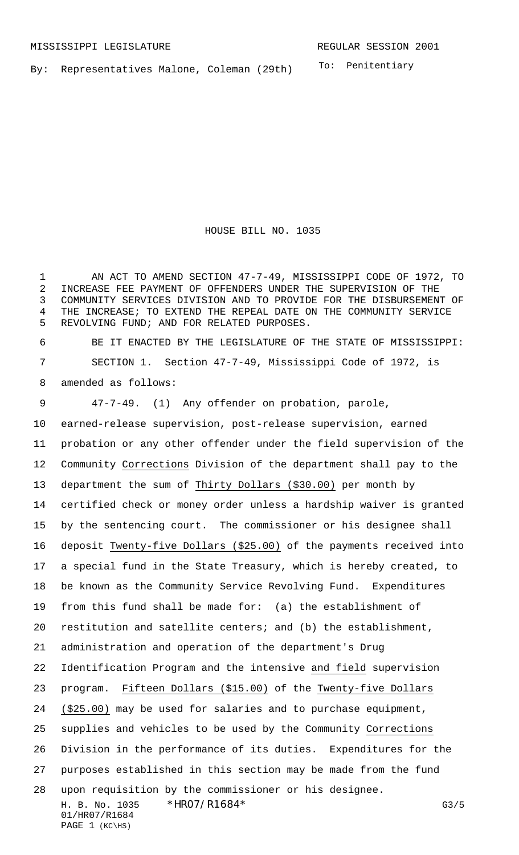To: Penitentiary By: Representatives Malone, Coleman (29th)

HOUSE BILL NO. 1035

 AN ACT TO AMEND SECTION 47-7-49, MISSISSIPPI CODE OF 1972, TO INCREASE FEE PAYMENT OF OFFENDERS UNDER THE SUPERVISION OF THE COMMUNITY SERVICES DIVISION AND TO PROVIDE FOR THE DISBURSEMENT OF THE INCREASE; TO EXTEND THE REPEAL DATE ON THE COMMUNITY SERVICE REVOLVING FUND; AND FOR RELATED PURPOSES.

 BE IT ENACTED BY THE LEGISLATURE OF THE STATE OF MISSISSIPPI: SECTION 1. Section 47-7-49, Mississippi Code of 1972, is amended as follows:

H. B. No. 1035 \*HRO7/R1684\* G3/5 01/HR07/R1684 PAGE (KC\HS) 47-7-49. (1) Any offender on probation, parole, earned-release supervision, post-release supervision, earned probation or any other offender under the field supervision of the Community Corrections Division of the department shall pay to the department the sum of Thirty Dollars (\$30.00) per month by certified check or money order unless a hardship waiver is granted by the sentencing court. The commissioner or his designee shall deposit Twenty-five Dollars (\$25.00) of the payments received into a special fund in the State Treasury, which is hereby created, to be known as the Community Service Revolving Fund. Expenditures from this fund shall be made for: (a) the establishment of restitution and satellite centers; and (b) the establishment, administration and operation of the department's Drug Identification Program and the intensive and field supervision program. Fifteen Dollars (\$15.00) of the Twenty-five Dollars (\$25.00) may be used for salaries and to purchase equipment, supplies and vehicles to be used by the Community Corrections Division in the performance of its duties. Expenditures for the purposes established in this section may be made from the fund upon requisition by the commissioner or his designee.